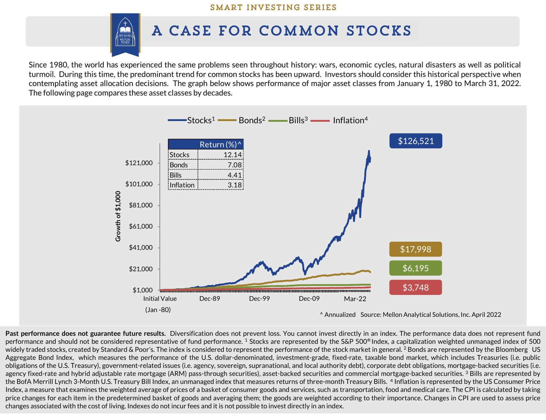## SMART INVESTING SERIES



## A CASE FOR COMMON STOCKS

Since 1980, the world has experienced the same problems seen throughout history: wars, economic cycles, natural disasters as well as political turmoil. During this time, the predominant trend for common stocks has been upward. Investors should consider this historical perspective when contemplating asset allocation decisions. The graph below shows performance of major asset classes from January 1, 1980 to March 31, 2022. The following page compares these asset classes by decades.



**Past performance does not guarantee future results.** Diversification does not prevent loss. You cannot invest directly in an index. The performance data does not represent fund performance and should not be considered representative of fund performance. <sup>1</sup> Stocks are represented by the S&P 500® Index, a capitalization weighted unmanaged index of 500 widely traded stocks, created by Standard & Poor's. The index is considered to represent the performance of the stock market in general. <sup>2</sup> Bonds are represented by the Bloomberg US Aggregate Bond Index, which measures the performance of the U.S. dollar-denominated, investment-grade, fixed-rate, taxable bond market, which includes Treasuries (i.e. public obligations of the U.S. Treasury), government-related issues (i.e. agency, sovereign, supranational, and local authority debt), corporate debt obligations, mortgage-backed securities (i.e. agency fixed-rate and hybrid adjustable rate mortgage (ARM) pass-through securities), asset-backed securities and commercial mortgage-backed securities. <sup>3</sup> Bills are represented by the BofA Merrill Lynch 3-Month U.S. Treasury Bill Index, an unmanaged index that measures returns of three-month Treasury Bills. 4 Inflation is represented by the US Consumer Price Index, a measure that examines the weighted average of prices of a basket of consumer goods and services, such as transportation, food and medical care. The CPI is calculated by taking price changes for each item in the predetermined basket of goods and averaging them; the goods are weighted according to their importance. Changes in CPI are used to assess price changes associated with the cost of living. Indexes do notincur fees and it is not possible to invest directly in an index.